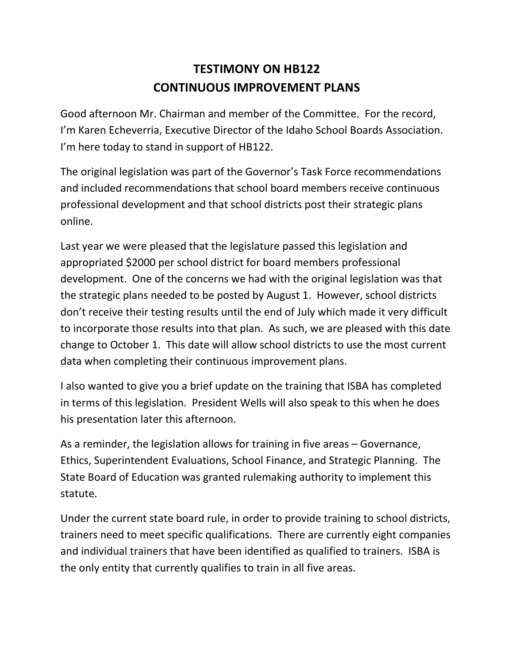## **TESTIMONY ON HB122 CONTINUOUS IMPROVEMENT PLANS**

Good afternoon Mr. Chairman and member of the Committee. For the record, I'm Karen Echeverria, Executive Director of the Idaho School Boards Association. I'm here today to stand in support of HB122.

The original legislation was part of the Governor's Task Force recommendations and included recommendations that school board members receive continuous professional development and that school districts post their strategic plans online.

Last year we were pleased that the legislature passed this legislation and appropriated \$2000 per school district for board members professional development. One of the concerns we had with the original legislation was that the strategic plans needed to be posted by August 1. However, school districts don't receive their testing results until the end of July which made it very difficult to incorporate those results into that plan. As such, we are pleased with this date change to October 1. This date will allow school districts to use the most current data when completing their continuous improvement plans.

I also wanted to give you a brief update on the training that ISBA has completed in terms of this legislation. President Wells will also speak to this when he does his presentation later this afternoon.

As a reminder, the legislation allows for training in five areas – Governance, Ethics, Superintendent Evaluations, School Finance, and Strategic Planning. The State Board of Education was granted rulemaking authority to implement this statute.

Under the current state board rule, in order to provide training to school districts, trainers need to meet specific qualifications. There are currently eight companies and individual trainers that have been identified as qualified to trainers. ISBA is the only entity that currently qualifies to train in all five areas.